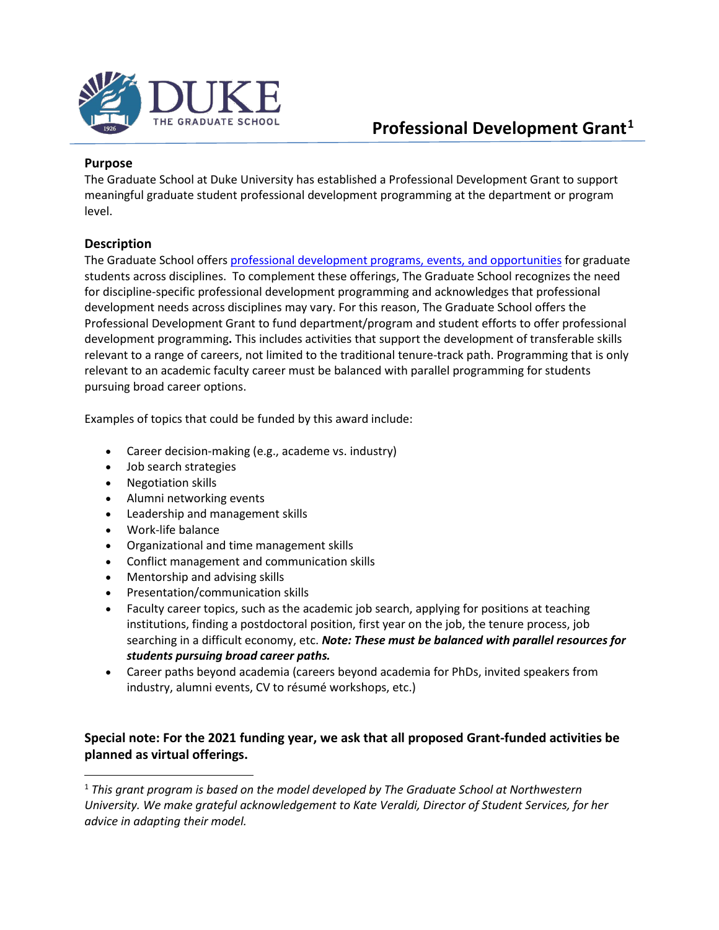

### **Purpose**

The Graduate School at Duke University has established a Professional Development Grant to support meaningful graduate student professional development programming at the department or program level.

### **Description**

The Graduate School offers [professional development programs, events, and opportunities](http://gradschool.duke.edu/professional-development) for graduate students across disciplines. To complement these offerings, The Graduate School recognizes the need for discipline-specific professional development programming and acknowledges that professional development needs across disciplines may vary. For this reason, The Graduate School offers the Professional Development Grant to fund department/program and student efforts to offer professional development programming**.** This includes activities that support the development of transferable skills relevant to a range of careers, not limited to the traditional tenure-track path. Programming that is only relevant to an academic faculty career must be balanced with parallel programming for students pursuing broad career options.

Examples of topics that could be funded by this award include:

- Career decision-making (e.g., academe vs. industry)
- Job search strategies
- Negotiation skills
- Alumni networking events
- Leadership and management skills
- Work-life balance
- Organizational and time management skills
- Conflict management and communication skills
- Mentorship and advising skills
- Presentation/communication skills
- Faculty career topics, such as the academic job search, applying for positions at teaching institutions, finding a postdoctoral position, first year on the job, the tenure process, job searching in a difficult economy, etc. *Note: These must be balanced with parallel resources for students pursuing broad career paths.*
- Career paths beyond academia (careers beyond academia for PhDs, invited speakers from industry, alumni events, CV to résumé workshops, etc.)

# **Special note: For the 2021 funding year, we ask that all proposed Grant-funded activities be planned as virtual offerings.**

<span id="page-0-0"></span> <sup>1</sup> *This grant program is based on the model developed by The Graduate School at Northwestern University. We make grateful acknowledgement to Kate Veraldi, Director of Student Services, for her advice in adapting their model.*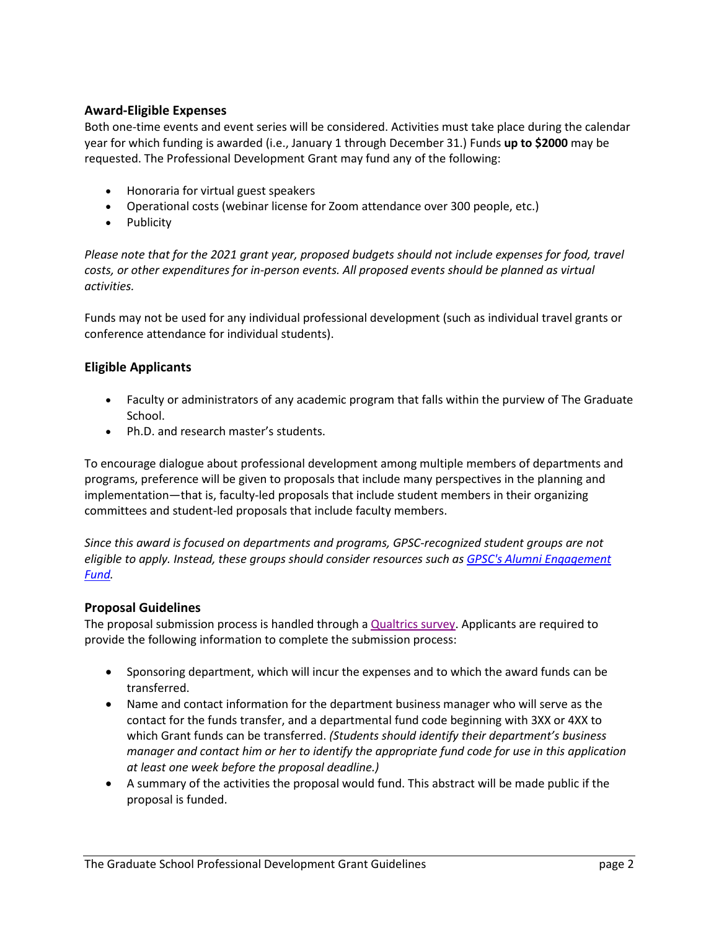### **Award-Eligible Expenses**

Both one-time events and event series will be considered. Activities must take place during the calendar year for which funding is awarded (i.e., January 1 through December 31.) Funds **up to \$2000** may be requested. The Professional Development Grant may fund any of the following:

- Honoraria for virtual guest speakers
- Operational costs (webinar license for Zoom attendance over 300 people, etc.)
- Publicity

*Please note that for the 2021 grant year, proposed budgets should not include expenses for food, travel costs, or other expenditures for in-person events. All proposed events should be planned as virtual activities.*

Funds may not be used for any individual professional development (such as individual travel grants or conference attendance for individual students).

### **Eligible Applicants**

- Faculty or administrators of any academic program that falls within the purview of The Graduate School.
- Ph.D. and research master's students.

To encourage dialogue about professional development among multiple members of departments and programs, preference will be given to proposals that include many perspectives in the planning and implementation—that is, faculty-led proposals that include student members in their organizing committees and student-led proposals that include faculty members.

*Since this award is focused on departments and programs, GPSC-recognized student groups are not eligible to apply. Instead, these groups should consider resources such a[s GPSC's Alumni Engagement](https://dukegpsc.org/resources-for-students/funding-for-student-groups/)  [Fund.](https://dukegpsc.org/resources-for-students/funding-for-student-groups/)*

#### **Proposal Guidelines**

The proposal submission process is handled through a [Qualtrics survey.](https://duke.qualtrics.com/jfe/form/SV_80O071bi4Hj8x3D) Applicants are required to provide the following information to complete the submission process:

- Sponsoring department, which will incur the expenses and to which the award funds can be transferred.
- Name and contact information for the department business manager who will serve as the contact for the funds transfer, and a departmental fund code beginning with 3XX or 4XX to which Grant funds can be transferred. *(Students should identify their department's business manager and contact him or her to identify the appropriate fund code for use in this application at least one week before the proposal deadline.)*
- A summary of the activities the proposal would fund. This abstract will be made public if the proposal is funded.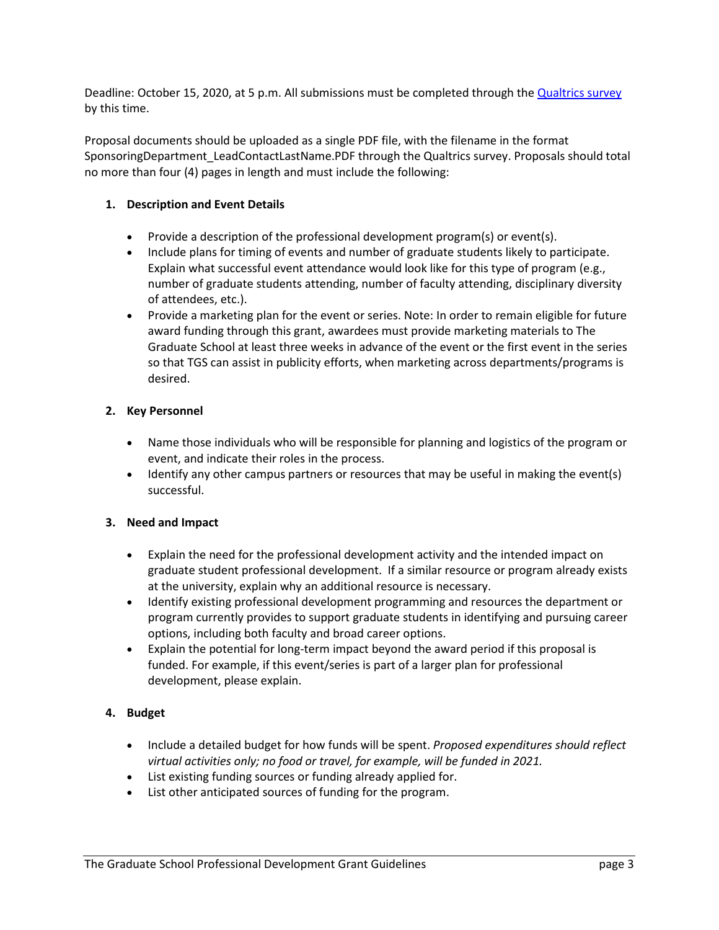Deadline: October 15, 2020, at 5 p.m. All submissions must be completed through th[e Qualtrics survey](https://duke.qualtrics.com/jfe/form/SV_80O071bi4Hj8x3D) by this time.

Proposal documents should be uploaded as a single PDF file, with the filename in the format SponsoringDepartment\_LeadContactLastName.PDF through the Qualtrics survey. Proposals should total no more than four (4) pages in length and must include the following:

### **1. Description and Event Details**

- Provide a description of the professional development program(s) or event(s).
- Include plans for timing of events and number of graduate students likely to participate. Explain what successful event attendance would look like for this type of program (e.g., number of graduate students attending, number of faculty attending, disciplinary diversity of attendees, etc.).
- Provide a marketing plan for the event or series. Note: In order to remain eligible for future award funding through this grant, awardees must provide marketing materials to The Graduate School at least three weeks in advance of the event or the first event in the series so that TGS can assist in publicity efforts, when marketing across departments/programs is desired.

### **2. Key Personnel**

- Name those individuals who will be responsible for planning and logistics of the program or event, and indicate their roles in the process.
- Identify any other campus partners or resources that may be useful in making the event(s) successful.

#### **3. Need and Impact**

- Explain the need for the professional development activity and the intended impact on graduate student professional development. If a similar resource or program already exists at the university, explain why an additional resource is necessary.
- Identify existing professional development programming and resources the department or program currently provides to support graduate students in identifying and pursuing career options, including both faculty and broad career options.
- Explain the potential for long-term impact beyond the award period if this proposal is funded. For example, if this event/series is part of a larger plan for professional development, please explain.

### **4. Budget**

- Include a detailed budget for how funds will be spent. *Proposed expenditures should reflect virtual activities only; no food or travel, for example, will be funded in 2021.*
- List existing funding sources or funding already applied for.
- List other anticipated sources of funding for the program.